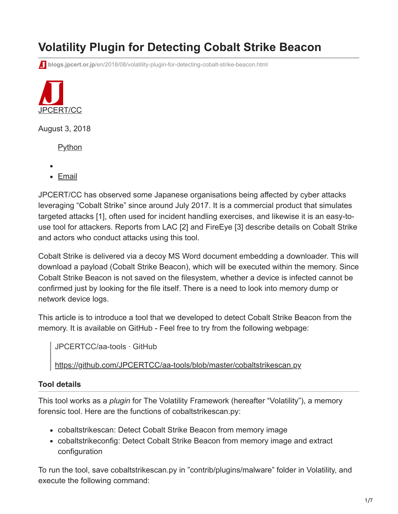# **Volatility Plugin for Detecting Cobalt Strike Beacon**

**blogs.jpcert.or.jp**[/en/2018/08/volatility-plugin-for-detecting-cobalt-strike-beacon.html](https://blogs.jpcert.or.jp/en/2018/08/volatility-plugin-for-detecting-cobalt-strike-beacon.html)



August 3, 2018

**[Python](https://blogs.jpcert.or.jp/en/tags/python/)** 

- 
- [Email](http://10.10.0.46/mailto:?subject=Volatility%20Plugin%20for%20Detecting%20Cobalt%20Strike%20Beacon&body=https%3A%2F%2Fblogs.jpcert.or.jp%2Fen%2F2018%2F08%2Fvolatility-plugin-for-detecting-cobalt-strike-beacon.html)

JPCERT/CC has observed some Japanese organisations being affected by cyber attacks leveraging "Cobalt Strike" since around July 2017. It is a commercial product that simulates targeted attacks [1], often used for incident handling exercises, and likewise it is an easy-touse tool for attackers. Reports from LAC [2] and FireEye [3] describe details on Cobalt Strike and actors who conduct attacks using this tool.

Cobalt Strike is delivered via a decoy MS Word document embedding a downloader. This will download a payload (Cobalt Strike Beacon), which will be executed within the memory. Since Cobalt Strike Beacon is not saved on the filesystem, whether a device is infected cannot be confirmed just by looking for the file itself. There is a need to look into memory dump or network device logs.

This article is to introduce a tool that we developed to detect Cobalt Strike Beacon from the memory. It is available on GitHub - Feel free to try from the following webpage:

JPCERTCC/aa-tools · GitHub

<https://github.com/JPCERTCC/aa-tools/blob/master/cobaltstrikescan.py>

#### **Tool details**

This tool works as a *plugin* for The Volatility Framework (hereafter "Volatility"), a memory forensic tool. Here are the functions of cobaltstrikescan.py:

- cobaltstrikescan: Detect Cobalt Strike Beacon from memory image
- cobaltstrikeconfig: Detect Cobalt Strike Beacon from memory image and extract configuration

To run the tool, save cobaltstrikescan.py in "contrib/plugins/malware" folder in Volatility, and execute the following command: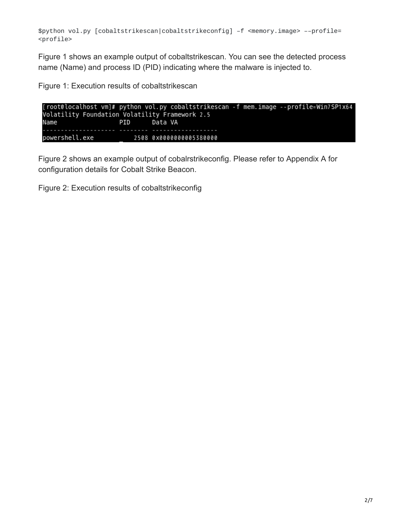\$python vol.py [cobaltstrikescan|cobaltstrikeconfig] –f <memory.image> ––profile= <profile>

Figure 1 shows an example output of cobaltstrikescan. You can see the detected process name (Name) and process ID (PID) indicating where the malware is injected to.

Figure 1: Execution results of cobaltstrikescan

[root@localhost vm]# python vol.py cobaltstrikescan -f mem.image --profile=Win7SP1x64 Volatility Foundation Volatility Framework 2.5 PID Data VA Name powershell.exe 2508 0x0000000005380000

Figure 2 shows an example output of cobalrstrikeconfig. Please refer to Appendix A for configuration details for Cobalt Strike Beacon.

Figure 2: Execution results of cobaltstrikeconfig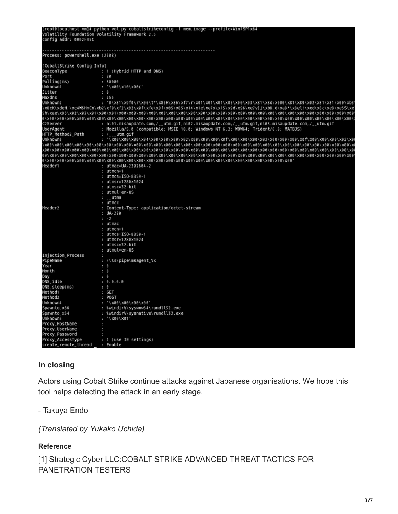|                                                       | [root@localhost vm]# python vol.py cobaltstrikeconfig -f mem.image --profile=Win7SP1x64                                                                                             |
|-------------------------------------------------------|-------------------------------------------------------------------------------------------------------------------------------------------------------------------------------------|
|                                                       | Volatility Foundation Volatility Framework 2.5                                                                                                                                      |
| config addr: 0002F35C                                 |                                                                                                                                                                                     |
|                                                       |                                                                                                                                                                                     |
| Process: powershell.exe (2508)                        |                                                                                                                                                                                     |
|                                                       |                                                                                                                                                                                     |
|                                                       | : 1 (Hybrid HTTP and DNS)                                                                                                                                                           |
| Port                                                  | :80                                                                                                                                                                                 |
| Polling(ms)                                           | : 60000                                                                                                                                                                             |
| Unknown1                                              | : '\x00\x10\x00('                                                                                                                                                                   |
| Jitter                                                | : 0                                                                                                                                                                                 |
| Maxdns                                                | : 255                                                                                                                                                                               |
| Unknown2                                              | : "0\x81\x9f0\r\x06\t*\x86H\x86\xf7\r\x01\x01\x01\x05\x00\x03\x81\x8d\x000\x81\x89\x02\x81\x81\x00\xb3                                                                              |
|                                                       | \x8cK\xdeH.\xc4W\$HnCn\xb2\xf0\xf2\x92\x0f\xfe\x9f\x05\x85\x14\x1e\xe7x\x15\x9d\x96\xe7v[i\xb8_d\xa8*\x8el!\xed\x8c\xe8\xe5S\xe                                                     |
|                                                       |                                                                                                                                                                                     |
| C2Server                                              |                                                                                                                                                                                     |
| UserAgent                                             | : nl01.misaupdate.com,/__utm.gif,nl02.misaupdate.com,/__utm.gif,nl03.misaupdate.com,/__utm.gif<br>: Mozilla/5.0 (compatible; MSIE 10.0; Windows NT 6.2; WOW64; Trident/6.0; MATBJS) |
| HTTP_Method2_Path                                     |                                                                                                                                                                                     |
| Unknown3                                              | : /___utm.gif                                                                                                                                                                       |
|                                                       |                                                                                                                                                                                     |
|                                                       |                                                                                                                                                                                     |
|                                                       |                                                                                                                                                                                     |
|                                                       |                                                                                                                                                                                     |
| Header1                                               | : utmac=UA-2202604-2                                                                                                                                                                |
|                                                       | : utmcn=1                                                                                                                                                                           |
|                                                       | : utmcs=ISO-8859-1                                                                                                                                                                  |
|                                                       | : utmsr=1280x1024                                                                                                                                                                   |
|                                                       | : utmsc=32-bit                                                                                                                                                                      |
|                                                       | : utmul=en-US                                                                                                                                                                       |
|                                                       | : __utma                                                                                                                                                                            |
|                                                       | : utmcc                                                                                                                                                                             |
| Header2                                               | : Content-Type: application/octet-stream                                                                                                                                            |
|                                                       | : $UA - 220$                                                                                                                                                                        |
|                                                       | $: -2$                                                                                                                                                                              |
|                                                       | : utmac                                                                                                                                                                             |
|                                                       | : utmcn=1                                                                                                                                                                           |
|                                                       | : utmcs=ISO-8859-1                                                                                                                                                                  |
|                                                       | : utmsr=1280x1024                                                                                                                                                                   |
|                                                       | : utmsc=32-bit                                                                                                                                                                      |
|                                                       | : utmul=en-US                                                                                                                                                                       |
| Injection_Process                                     | ٠                                                                                                                                                                                   |
| ---<br>PipeName<br>Year                               | : \\%s\pipe\msagent_%x<br>: 0                                                                                                                                                       |
| Month                                                 | : 0                                                                                                                                                                                 |
| Day                                                   | : 0                                                                                                                                                                                 |
| DNS idle                                              | : 0.0.0.0                                                                                                                                                                           |
| DNS_sleep(ms)                                         | : 0                                                                                                                                                                                 |
| Method1                                               | : GET                                                                                                                                                                               |
| Method2                                               | : POST                                                                                                                                                                              |
| Unknown4                                              | : '\x00\x00\x00\x00'                                                                                                                                                                |
|                                                       | : %windir%\syswow64\rundll32.exe                                                                                                                                                    |
| snawnto_x86<br>Spawnto_x86<br>Spawnto_x64<br>Unknown5 | : %windir%\sysnative\rundll32.exe                                                                                                                                                   |
|                                                       | : '\X00\X01'                                                                                                                                                                        |
|                                                       | ٠                                                                                                                                                                                   |
| Proxy_HostName<br>Proxy_UserName                      | ×                                                                                                                                                                                   |
| Proxy_Password                                        | ٠                                                                                                                                                                                   |
| Proxy_AccessType                                      | : 2 (use IE settings)                                                                                                                                                               |
| create_remote_thread : Enable                         |                                                                                                                                                                                     |

#### **In closing**

Actors using Cobalt Strike continue attacks against Japanese organisations. We hope this tool helps detecting the attack in an early stage.

- Takuya Endo

*(Translated by Yukako Uchida)*

#### **Reference**

[1] Strategic Cyber LLC:COBALT STRIKE ADVANCED THREAT TACTICS FOR PANETRATION TESTERS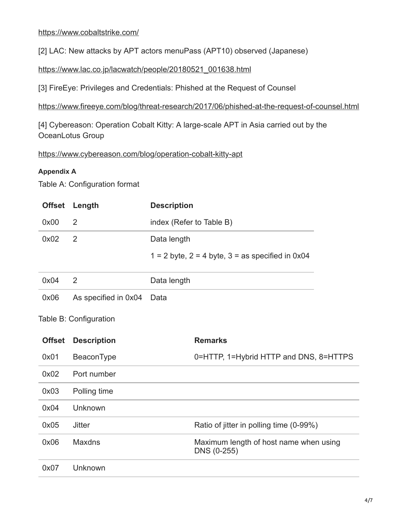[2] LAC: New attacks by APT actors menuPass (APT10) observed (Japanese)

[https://www.lac.co.jp/lacwatch/people/20180521\\_001638.html](https://www.lac.co.jp/lacwatch/people/20180521_001638.html)

[3] FireEye: Privileges and Credentials: Phished at the Request of Counsel

<https://www.fireeye.com/blog/threat-research/2017/06/phished-at-the-request-of-counsel.html>

[4] Cybereason: Operation Cobalt Kitty: A large-scale APT in Asia carried out by the OceanLotus Group

<https://www.cybereason.com/blog/operation-cobalt-kitty-apt>

#### **Appendix A**

Table A: Configuration format

|      | Offset Length  | <b>Description</b>                                     |
|------|----------------|--------------------------------------------------------|
| 0x00 | -2             | index (Refer to Table B)                               |
| 0x02 | $\overline{2}$ | Data length                                            |
|      |                | $1 = 2$ byte, $2 = 4$ byte, $3 =$ as specified in 0x04 |

| 0x04 |                           | Data length |
|------|---------------------------|-------------|
| 0x06 | As specified in 0x04 Data |             |

#### Table B: Configuration

| <b>Offset</b> | <b>Description</b> | <b>Remarks</b>                                        |
|---------------|--------------------|-------------------------------------------------------|
| 0x01          | BeaconType         | 0=HTTP, 1=Hybrid HTTP and DNS, 8=HTTPS                |
| 0x02          | Port number        |                                                       |
| 0x03          | Polling time       |                                                       |
| 0x04          | Unknown            |                                                       |
| 0x05          | <b>Jitter</b>      | Ratio of jitter in polling time (0-99%)               |
| 0x06          | Maxdns             | Maximum length of host name when using<br>DNS (0-255) |
| 0x07          | Unknown            |                                                       |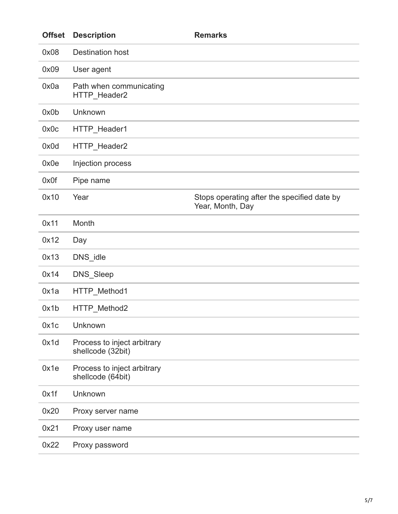| <b>Offset</b> | <b>Description</b>                               | <b>Remarks</b>                                                  |
|---------------|--------------------------------------------------|-----------------------------------------------------------------|
| 0x08          | <b>Destination host</b>                          |                                                                 |
| 0x09          | User agent                                       |                                                                 |
| 0x0a          | Path when communicating<br>HTTP_Header2          |                                                                 |
| 0x0b          | Unknown                                          |                                                                 |
| 0x0c          | HTTP_Header1                                     |                                                                 |
| 0x0d          | HTTP_Header2                                     |                                                                 |
| 0x0e          | Injection process                                |                                                                 |
| 0x0f          | Pipe name                                        |                                                                 |
| 0x10          | Year                                             | Stops operating after the specified date by<br>Year, Month, Day |
| 0x11          | Month                                            |                                                                 |
| 0x12          | Day                                              |                                                                 |
| 0x13          | DNS_idle                                         |                                                                 |
| 0x14          | DNS_Sleep                                        |                                                                 |
| 0x1a          | HTTP Method1                                     |                                                                 |
| 0x1b          | HTTP_Method2                                     |                                                                 |
| 0x1c          | Unknown                                          |                                                                 |
| 0x1d          | Process to inject arbitrary<br>shellcode (32bit) |                                                                 |
| 0x1e          | Process to inject arbitrary<br>shellcode (64bit) |                                                                 |
| 0x1f          | Unknown                                          |                                                                 |
| 0x20          | Proxy server name                                |                                                                 |
| 0x21          | Proxy user name                                  |                                                                 |
| 0x22          | Proxy password                                   |                                                                 |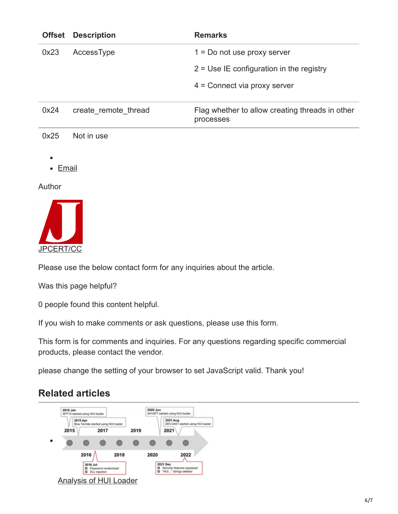| <b>Offset</b> | <b>Description</b>   | <b>Remarks</b>                                               |
|---------------|----------------------|--------------------------------------------------------------|
| 0x23          | AccessType           | $1 = Do$ not use proxy server                                |
|               |                      | $2 = Use IE configuration in the registry$                   |
|               |                      | $4 =$ Connect via proxy server                               |
| 0x24          | create remote thread | Flag whether to allow creating threads in other<br>processes |
| 0x25          | Not in use           |                                                              |
| <b>Email</b>  |                      |                                                              |
| Author        |                      |                                                              |
|               |                      |                                                              |



Please use the below contact form for any inquiries about the article.

Was this page helpful?

0 people found this content helpful.

If you wish to make comments or ask questions, please use this form.

This form is for comments and inquiries. For any questions regarding specific commercial products, please contact the vendor.

please change the setting of your browser to set JavaScript valid. Thank you!

## **Related articles**